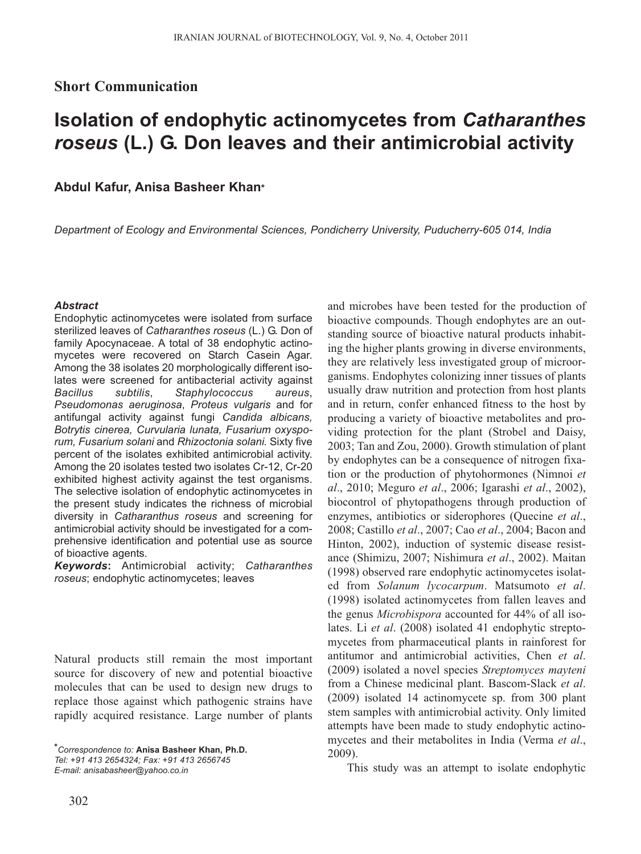# **Short Communication**

# **Isolation of endophytic actinomycetes from** *Catharanthes roseus* **(L.) G. Don leaves and their antimicrobial activity**

**Abdul Kafur, Anisa Basheer Khan\***

*Department of Ecology and Environmental Sciences, Pondicherry University, Puducherry-605 014, India*

## *Abstract*

Endophytic actinomycetes were isolated from surface sterilized leaves of *Catharanthes roseus* (L.) G. Don of family Apocynaceae. A total of 38 endophytic actinomycetes were recovered on Starch Casein Agar. Among the 38 isolates 20 morphologically different isolates were screened for antibacterial activity against *Bacillus subtilis*, *Staphylococcus aureus*, *Pseudomonas aeruginosa*, *Proteus vulgaris* and for antifungal activity against fungi *Candida albicans, Botrytis cinerea, Curvularia lunata, Fusarium oxysporum, Fusarium solani* and *Rhizoctonia solani.* Sixty five percent of the isolates exhibited antimicrobial activity. Among the 20 isolates tested two isolates Cr-12, Cr-20 exhibited highest activity against the test organisms. The selective isolation of endophytic actinomycetes in the present study indicates the richness of microbial diversity in *Catharanthus roseus* and screening for antimicrobial activity should be investigated for a comprehensive identification and potential use as source of bioactive agents.

*Keywords***:** Antimicrobial activity; *Catharanthes roseus*; endophytic actinomycetes; leaves

Natural products still remain the most important source for discovery of new and potential bioactive molecules that can be used to design new drugs to replace those against which pathogenic strains have rapidly acquired resistance. Large number of plants bioactive compounds. Though endophytes are an outstanding source of bioactive natural products inhabiting the higher plants growing in diverse environments, they are relatively less investigated group of microorganisms. Endophytes colonizing inner tissues of plants usually draw nutrition and protection from host plants and in return, confer enhanced fitness to the host by producing a variety of bioactive metabolites and providing protection for the plant (Strobel and Daisy, 2003; Tan and Zou, 2000). Growth stimulation of plant by endophytes can be a consequence of nitrogen fixation or the production of phytohormones (Nimnoi *et al*., 2010; Meguro *et al*., 2006; Igarashi *et al*., 2002), biocontrol of phytopathogens through production of enzymes, antibiotics or siderophores (Quecine *et al*., 2008; Castillo *et al*., 2007; Cao *et al*., 2004; Bacon and Hinton, 2002), induction of systemic disease resistance (Shimizu, 2007; Nishimura *et al*., 2002). Maitan (1998) observed rare endophytic actinomycetes isolated from *Solanum lycocarpum*. Matsumoto *et al*. (1998) isolated actinomycetes from fallen leaves and the genus *Microbispora* accounted for 44% of all isolates. Li *et al*. (2008) isolated 41 endophytic streptomycetes from pharmaceutical plants in rainforest for antitumor and antimicrobial activities, Chen *et al*. (2009) isolated a novel species *Streptomyces mayteni* from a Chinese medicinal plant. Bascom-Slack *et al*. (2009) isolated 14 actinomycete sp. from 300 plant stem samples with antimicrobial activity. Only limited attempts have been made to study endophytic actinomycetes and their metabolites in India (Verma *et al*., 2009).

and microbes have been tested for the production of

This study was an attempt to isolate endophytic

*<sup>\*</sup>Correspondence to:* **Anisa Basheer Khan, Ph.D.** *Tel: +91 413 2654324; Fax: +91 413 2656745 E-mail: anisabasheer@yahoo.co.in*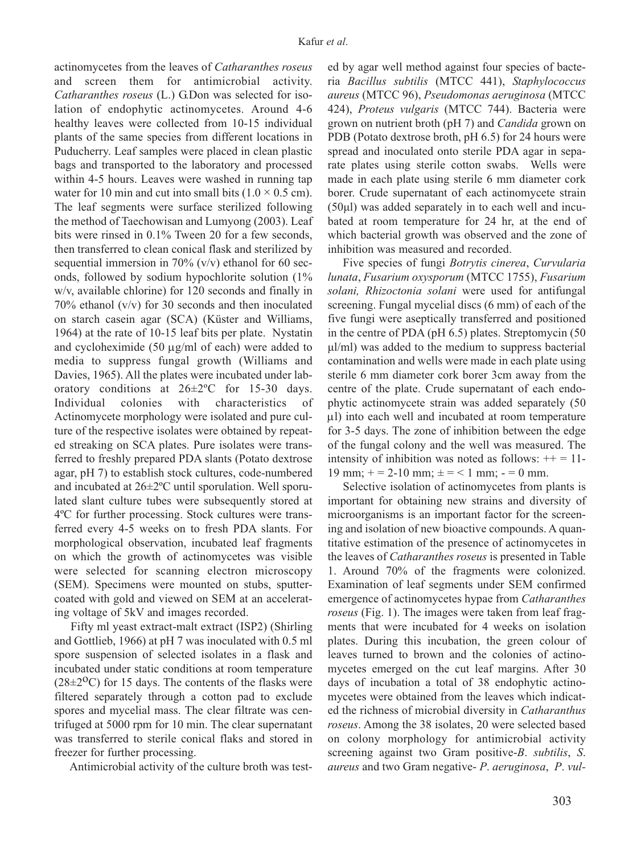actinomycetes from the leaves of *Catharanthes roseus* and screen them for antimicrobial activity. *Catharanthes roseus* (L.) G.Don was selected for isolation of endophytic actinomycetes. Around 4-6 healthy leaves were collected from 10-15 individual plants of the same species from different locations in Puducherry. Leaf samples were placed in clean plastic bags and transported to the laboratory and processed within 4-5 hours. Leaves were washed in running tap water for 10 min and cut into small bits  $(1.0 \times 0.5 \text{ cm})$ . The leaf segments were surface sterilized following the method of Taechowisan and Lumyong (2003). Leaf bits were rinsed in 0.1% Tween 20 for a few seconds, then transferred to clean conical flask and sterilized by sequential immersion in 70%  $(v/v)$  ethanol for 60 seconds, followed by sodium hypochlorite solution (1% w/v, available chlorine) for 120 seconds and finally in 70% ethanol (v/v) for 30 seconds and then inoculated on starch casein agar (SCA) (Küster and Williams, 1964) at the rate of 10-15 leaf bits per plate. Nystatin and cycloheximide (50 μg/ml of each) were added to media to suppress fungal growth (Williams and Davies, 1965). All the plates were incubated under laboratory conditions at 26±2ºC for 15-30 days. Individual colonies with characteristics of Actinomycete morphology were isolated and pure culture of the respective isolates were obtained by repeated streaking on SCA plates. Pure isolates were transferred to freshly prepared PDA slants (Potato dextrose agar, pH 7) to establish stock cultures, code-numbered and incubated at 26±2ºC until sporulation. Well sporulated slant culture tubes were subsequently stored at 4ºC for further processing. Stock cultures were transferred every 4-5 weeks on to fresh PDA slants. For morphological observation, incubated leaf fragments on which the growth of actinomycetes was visible were selected for scanning electron microscopy (SEM). Specimens were mounted on stubs, sputtercoated with gold and viewed on SEM at an accelerating voltage of 5kV and images recorded.

Fifty ml yeast extract-malt extract (ISP2) (Shirling and Gottlieb, 1966) at pH 7 was inoculated with 0.5 ml spore suspension of selected isolates in a flask and incubated under static conditions at room temperature  $(28\pm2$ <sup>o</sup>C) for 15 days. The contents of the flasks were filtered separately through a cotton pad to exclude spores and mycelial mass. The clear filtrate was centrifuged at 5000 rpm for 10 min. The clear supernatant was transferred to sterile conical flaks and stored in freezer for further processing.

Antimicrobial activity of the culture broth was test-

ed by agar well method against four species of bacteria *Bacillus subtilis* (MTCC 441), *Staphylococcus aureus* (MTCC 96), *Pseudomonas aeruginosa* (MTCC 424), *Proteus vulgaris* (MTCC 744). Bacteria were grown on nutrient broth (pH 7) and *Candida* grown on PDB (Potato dextrose broth, pH 6.5) for 24 hours were spread and inoculated onto sterile PDA agar in separate plates using sterile cotton swabs. Wells were made in each plate using sterile 6 mm diameter cork borer. Crude supernatant of each actinomycete strain (50μl) was added separately in to each well and incubated at room temperature for 24 hr, at the end of which bacterial growth was observed and the zone of inhibition was measured and recorded.

Five species of fungi *Botrytis cinerea*, *Curvularia lunata*, *Fusarium oxysporum* (MTCC 1755), *Fusarium solani, Rhizoctonia solani* were used for antifungal screening. Fungal mycelial discs (6 mm) of each of the five fungi were aseptically transferred and positioned in the centre of PDA (pH 6.5) plates. Streptomycin (50 μl/ml) was added to the medium to suppress bacterial contamination and wells were made in each plate using sterile 6 mm diameter cork borer 3cm away from the centre of the plate. Crude supernatant of each endophytic actinomycete strain was added separately (50 μl) into each well and incubated at room temperature for 3-5 days. The zone of inhibition between the edge of the fungal colony and the well was measured. The intensity of inhibition was noted as follows:  $++ = 11$ -19 mm;  $+= 2-10$  mm;  $\pm = 1$  mm;  $= 0$  mm.

Selective isolation of actinomycetes from plants is important for obtaining new strains and diversity of microorganisms is an important factor for the screening and isolation of new bioactive compounds. A quantitative estimation of the presence of actinomycetes in the leaves of *Catharanthes roseus* is presented in Table 1. Around 70% of the fragments were colonized. Examination of leaf segments under SEM confirmed emergence of actinomycetes hypae from *Catharanthes roseus* (Fig. 1). The images were taken from leaf fragments that were incubated for 4 weeks on isolation plates. During this incubation, the green colour of leaves turned to brown and the colonies of actinomycetes emerged on the cut leaf margins. After 30 days of incubation a total of 38 endophytic actinomycetes were obtained from the leaves which indicated the richness of microbial diversity in *Catharanthus roseus*. Among the 38 isolates, 20 were selected based on colony morphology for antimicrobial activity screening against two Gram positive-*B*. *subtilis*, *S*. *aureus* and two Gram negative- *P*. *aeruginosa*, *P*. *vul-*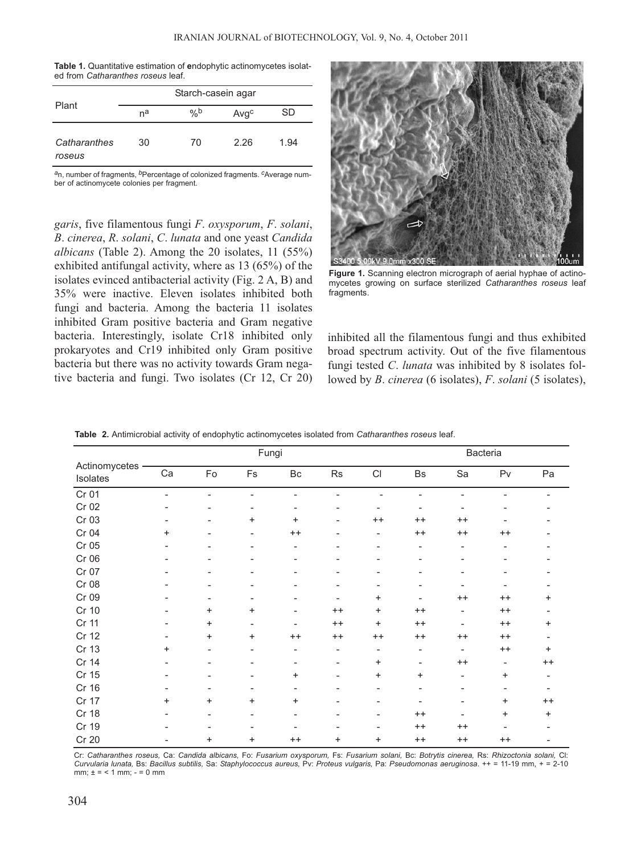| <b>Table 1.</b> Quantitative estimation of endophytic actinomycetes isolat- |  |  |
|-----------------------------------------------------------------------------|--|--|
| ed from Catharanthes roseus leaf.                                           |  |  |

|                        | Starch-casein agar |      |      |      |  |  |
|------------------------|--------------------|------|------|------|--|--|
| Plant                  | na                 | $\%$ | Avgc | SD   |  |  |
| Catharanthes<br>roseus | 30                 | 70   | 2.26 | 1.94 |  |  |

*a*n, number of fragments, *b*Percentage of colonized fragments. *c*Average number of actinomycete colonies per fragment.

*garis*, five filamentous fungi *F*. *oxysporum*, *F*. *solani*, *B*. *cinerea*, *R*. *solani*, *C*. *lunata* and one yeast *Candida albicans* (Table 2). Among the 20 isolates, 11 (55%) exhibited antifungal activity, where as 13 (65%) of the isolates evinced antibacterial activity (Fig. 2 A, B) and 35% were inactive. Eleven isolates inhibited both fungi and bacteria. Among the bacteria 11 isolates inhibited Gram positive bacteria and Gram negative bacteria. Interestingly, isolate Cr18 inhibited only prokaryotes and Cr19 inhibited only Gram positive bacteria but there was no activity towards Gram negative bacteria and fungi. Two isolates (Cr 12, Cr 20)



**Figure 1.** Scanning electron micrograph of aerial hyphae of actinomycetes growing on surface sterilized *Catharanthes roseus* leaf fragments.

inhibited all the filamentous fungi and thus exhibited broad spectrum activity. Out of the five filamentous fungi tested *C*. *lunata* was inhibited by 8 isolates followed by *B*. *cinerea* (6 isolates), *F*. *solani* (5 isolates),

|                           |           |                              | Fungi                    |                              |         |                            |                              |                          | Bacteria                 |         |
|---------------------------|-----------|------------------------------|--------------------------|------------------------------|---------|----------------------------|------------------------------|--------------------------|--------------------------|---------|
| Actinomycetes<br>Isolates | Ca        | Fo                           | Fs                       | $\mathsf{B}\mathsf{c}$       | Rs      | $\mathop{\rm Cl}\nolimits$ | Bs                           | Sa                       | P <sub>V</sub>           | Pa      |
| Cr 01                     |           | $\qquad \qquad \blacksquare$ | -                        |                              |         |                            |                              |                          |                          |         |
| Cr 02                     |           |                              |                          |                              |         |                            |                              |                          |                          |         |
| Cr 03                     |           |                              | $\ddot{}$                | $\ddot{}$                    | Ξ.      | $++$                       | $^{++}$                      | $^{++}$                  |                          |         |
| Cr 04                     | +         |                              | -                        | $++$                         |         | -                          | $^{++}$                      | $^{++}$                  | $^{++}$                  |         |
| Cr 05                     |           |                              | -                        | $\overline{a}$               |         |                            | $\qquad \qquad \blacksquare$ |                          |                          |         |
| Cr 06                     |           | $\overline{a}$               | -                        | $\qquad \qquad \blacksquare$ |         | -                          | $\qquad \qquad \blacksquare$ |                          |                          |         |
| Cr 07                     |           |                              |                          |                              |         |                            |                              |                          |                          |         |
| Cr 08                     |           |                              |                          |                              |         |                            |                              |                          |                          |         |
| Cr 09                     |           |                              | -                        |                              |         | ÷                          | $\overline{\phantom{0}}$     | $^{++}$                  | $^{++}$                  | +       |
| Cr 10                     |           | +                            | $\ddot{}$                |                              | $^{++}$ | $\ddot{}$                  | $^{++}$                      | $\blacksquare$           | $^{++}$                  |         |
| Cr 11                     |           | $\ddot{}$                    | $\overline{\phantom{0}}$ | $\overline{a}$               | $^{++}$ | $\ddot{}$                  | $^{++}$                      | $\overline{\phantom{0}}$ | $^{++}$                  | +       |
| Cr 12                     |           | $\ddot{}$                    | $\ddot{}$                | $++$                         | $^{++}$ | $^{++}$                    | $^{++}$                      | $++$                     | $^{++}$                  |         |
| Cr 13                     | $\ddot{}$ |                              |                          | $\overline{a}$               | ۰       | $\overline{\phantom{a}}$   | $\qquad \qquad \blacksquare$ |                          | $^{++}$                  | +       |
| Cr 14                     |           |                              | -                        | $\overline{a}$               | ۰       | $\ddot{}$                  | $\overline{\phantom{a}}$     | $^{++}$                  | $\overline{\phantom{a}}$ | $^{++}$ |
| Cr 15                     |           |                              |                          | +                            |         | $\ddot{}$                  | $\ddot{}$                    |                          | +                        |         |
| Cr 16                     |           |                              | -                        | $\qquad \qquad \blacksquare$ |         | -                          | $\qquad \qquad \blacksquare$ |                          | -                        |         |
| Cr 17                     | +         | $\ddot{}$                    | $\ddot{}$                | $\ddot{}$                    |         |                            |                              |                          | +                        | $++$    |
| Cr 18                     |           |                              |                          |                              |         |                            | $^{++}$                      |                          | +                        | +       |
| Cr 19                     |           |                              |                          |                              |         |                            | $^{++}$                      | $^{++}$                  | $\blacksquare$           |         |
| Cr 20                     |           | +                            | +                        | $++$                         | +       | $\ddot{}$                  | $^{++}$                      | $^{++}$                  | $^{++}$                  |         |

**Table 2.** Antimicrobial activity of endophytic actinomycetes isolated from *Catharanthes roseus* leaf.

Cr: *Catharanthes roseus,* Ca: *Candida albicans,* Fo: *Fusarium oxysporum,* Fs: *Fusarium solani,* Bc: *Botrytis cinerea,* Rs: *Rhizoctonia solani,* Cl: *Curvularia lunata,* Bs: *Bacillus subtilis,* Sa: *Staphylococcus aureus,* Pv: *Proteus vulgaris,* Pa: *Pseudomonas aeruginosa*. ++ = 11-19 mm, + = 2-10 mm;  $\pm = 1$  mm;  $\cdot = 0$  mm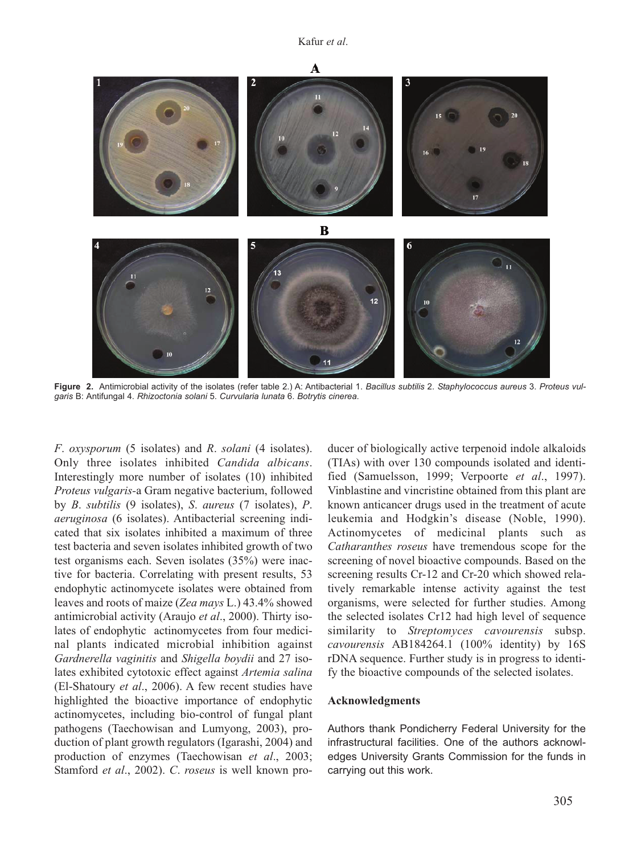

**Figure 2.** Antimicrobial activity of the isolates (refer table 2.) A: Antibacterial 1. *Bacillus subtilis* 2. *Staphylococcus aureus* 3. *Proteus vulgaris* B: Antifungal 4. *Rhizoctonia solani* 5. *Curvularia lunata* 6. *Botrytis cinerea*.

*F*. *oxysporum* (5 isolates) and *R*. *solani* (4 isolates). Only three isolates inhibited *Candida albicans*. Interestingly more number of isolates (10) inhibited *Proteus vulgaris-*a Gram negative bacterium, followed by *B*. *subtilis* (9 isolates), *S*. *aureus* (7 isolates), *P*. *aeruginosa* (6 isolates). Antibacterial screening indicated that six isolates inhibited a maximum of three test bacteria and seven isolates inhibited growth of two test organisms each. Seven isolates (35%) were inactive for bacteria. Correlating with present results, 53 endophytic actinomycete isolates were obtained from leaves and roots of maize (*Zea mays* L.) 43.4% showed antimicrobial activity (Araujo *et al*., 2000). Thirty isolates of endophytic actinomycetes from four medicinal plants indicated microbial inhibition against *Gardnerella vaginitis* and *Shigella boydii* and 27 isolates exhibited cytotoxic effect against *Artemia salina* (El-Shatoury *et al*., 2006). A few recent studies have highlighted the bioactive importance of endophytic actinomycetes, including bio-control of fungal plant pathogens (Taechowisan and Lumyong, 2003), production of plant growth regulators (Igarashi, 2004) and production of enzymes (Taechowisan *et al*., 2003; Stamford *et al*., 2002). *C*. *roseus* is well known producer of biologically active terpenoid indole alkaloids (TIAs) with over 130 compounds isolated and identified (Samuelsson, 1999; Verpoorte *et al*., 1997). Vinblastine and vincristine obtained from this plant are known anticancer drugs used in the treatment of acute leukemia and Hodgkin's disease (Noble, 1990). Actinomycetes of medicinal plants such as *Catharanthes roseus* have tremendous scope for the screening of novel bioactive compounds. Based on the screening results Cr-12 and Cr-20 which showed relatively remarkable intense activity against the test organisms, were selected for further studies. Among the selected isolates Cr12 had high level of sequence similarity to *Streptomyces cavourensis* subsp. *cavourensis* AB184264.1 (100% identity) by 16S rDNA sequence. Further study is in progress to identify the bioactive compounds of the selected isolates.

### **Acknowledgments**

Authors thank Pondicherry Federal University for the infrastructural facilities. One of the authors acknowledges University Grants Commission for the funds in carrying out this work.